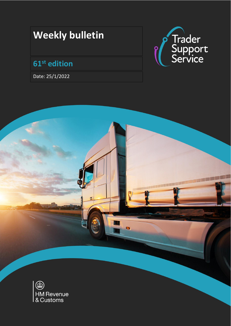# **Weekly bulletin**

## **61 st edition**

Date: 25/1/2022



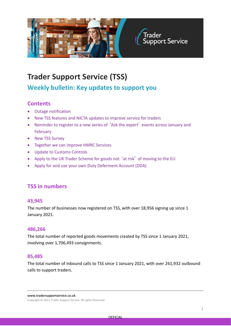

## **Trader Support Service (TSS)**

**Weekly bulletin: Key updates to support you**

## **Contents**

- Outage notification
- New TSS features and NICTA updates to improve service for traders
- Reminder to register to a new series of 'Ask the expert' events across January and February
- New TSS Survey
- Together we can improve HMRC Services
- Update to Customs Controls
- Apply to the UK Trader Scheme for goods not 'at risk' of moving to the EU
- Apply for and use your own Duty Deferment Account (DDA)

## **TSS in numbers**

#### **43,945**

The number of businesses now registered on TSS, with over 18,956 signing up since 1 January 2021.

#### **486,266**

The total number of reported goods movements created by TSS since 1 January 2021, involving over 1,706,493 consignments.

#### **85,485**

The total number of inbound calls to TSS since 1 January 2021, with over 261,932 outbound calls to support traders.

**www.tradersupportservice.co.uk**

Copyright © 2021 Trader Support Service. All rights Reserved.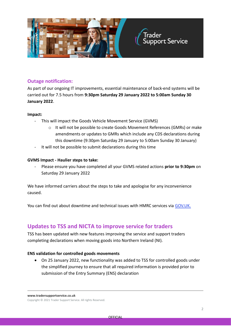

#### **Outage notification:**

As part of our ongoing IT improvements, essential maintenance of back-end systems will be carried out for 7.5 hours from **9:30pm Saturday 29 January 2022 to 5:00am Sunday 30 January 2022**.

#### **Impact:**

- This will impact the Goods Vehicle Movement Service (GVMS)
	- o It will not be possible to create Goods Movement References (GMRs) or make amendments or updates to GMRs which include any CDS declarations during this downtime (9:30pm Saturday 29 January to 5:00am Sunday 30 January)
- It will not be possible to submit declarations during this time

#### **GVMS Impact - Haulier steps to take:**

- Please ensure you have completed all your GVMS related actions **prior to 9:30pm** on Saturday 29 January 2022

We have informed carriers about the steps to take and apologise for any inconvenience caused.

You can find out about downtime and technical issues with HMRC services via [GOV.UK.](https://eur03.safelinks.protection.outlook.com/?url=https%3A%2F%2Fwww.gov.uk%2Fgovernment%2Fcollections%2Fhm-revenue-and-customs-service-availability-and-issues&data=04%7C01%7Cjanette.wilson1%40hmrc.gov.uk%7Ca1e0bbc366104cd9375408d9dff5461d%7Cac52f73cfd1a4a9a8e7a4a248f3139e1%7C0%7C0%7C637787066792027267%7CUnknown%7CTWFpbGZsb3d8eyJWIjoiMC4wLjAwMDAiLCJQIjoiV2luMzIiLCJBTiI6Ik1haWwiLCJXVCI6Mn0%3D%7C3000&sdata=TXPnOel%2F2Y%2B00tzoWbfX7HuIFhjnguum%2F7qK147%2BikY%3D&reserved=0)

### **Updates to TSS and NICTA to improve service for traders**

TSS has been updated with new features improving the service and support traders completing declarations when moving goods into Northern Ireland (NI).

#### **ENS validation for controlled goods movements**

• On 25 January 2022, new functionality was added to TSS for controlled goods under the simplified journey to ensure that all required information is provided prior to submission of the Entry Summary (ENS) declaration

**www.tradersupportservice.co.uk**

Copyright © 2021 Trader Support Service. All rights Reserved.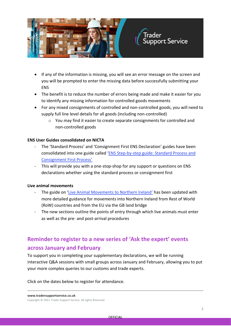

- If any of the information is missing, you will see an error message on the screen and you will be prompted to enter the missing data before successfully submitting your **ENS**
- The benefit is to reduce the number of errors being made and make it easier for you to identify any missing information for controlled goods movements
- For any mixed consignments of controlled and non-controlled goods, you will need to supply full line level details for all goods (including non-controlled)
	- $\circ$  You may find it easier to create separate consignments for controlled and non-controlled goods

#### **ENS User Guides consolidated on NICTA**

- The 'Standard Process' and 'Consignment First ENS Declaration' guides have been consolidated into one guide called '[ENS Step-by-step guide: Standard Process and](https://www.nicustomstradeacademy.co.uk/pdf/ens-user-guide/)  [Consignment First Process](https://www.nicustomstradeacademy.co.uk/pdf/ens-user-guide/)'
- This will provide you with a one-stop-shop for any support or questions on ENS declarations whether using the standard process or consignment first

#### **Live animal movements**

- The guide on '[Live Animal Movements to Northern Ireland](https://www.nicustomstradeacademy.co.uk/pdf/live-animal-movements/)' has been updated with more detailed guidance for movements into Northern Ireland from Rest of World (RoW) countries and from the EU via the GB land bridge
- The new sections outline the points of entry through which live animals must enter as well as the pre- and post-arrival procedures

## **Reminder to register to a new series of 'Ask the expert' events across January and February**

To support you in completing your supplementary declarations, we will be running interactive Q&A sessions with small groups across January and February, allowing you to put your more complex queries to our customs and trade experts.

Click on the dates below to register for attendance.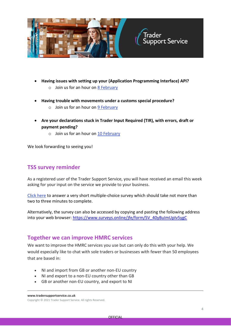

- **Having issues with setting up your (Application Programming Interface) API?**
	- $\circ$  Join us for an hour on [8 February](https://attendee.gotowebinar.com/register/1255772441491054092)
- **Having trouble with movements under a customs special procedure?**
	- $\circ$  Join us for an hour on [9 February](https://attendee.gotowebinar.com/register/7746438069880681487)
- **Are your declarations stuck in Trader Input Required (TIR), with errors, draft or payment pending?**
	- $\circ$  Join us for an hour on [10 February](https://attendee.gotowebinar.com/register/5852984488850435599)

We look forwarding to seeing you!

## **TSS survey reminder**

As a registered user of the Trader Support Service, you will have received an email this week asking for your input on the service we provide to your business.

[Click here](https://www.surveys.online/jfe/form/SV_40yBuImUpIv5ygC) to answer a very short multiple-choice survey which should take not more than two to three minutes to complete.

Alternatively, the survey can also be accessed by copying and pasting the following address into your web browser: [https://www.surveys.online/jfe/form/SV\\_40yBuImUpIv5ygC](https://www.surveys.online/jfe/form/SV_40yBuImUpIv5ygC)

## **Together we can improve HMRC services**

We want to improve the HMRC services you use but can only do this with your help. We would especially like to chat with sole traders or businesses with fewer than 50 employees that are based in:

- NI and import from GB or another non-EU country
- NI and export to a non-EU country other than GB
- GB or another non-EU country, and export to NI

**www.tradersupportservice.co.uk**

Copyright © 2021 Trader Support Service. All rights Reserved.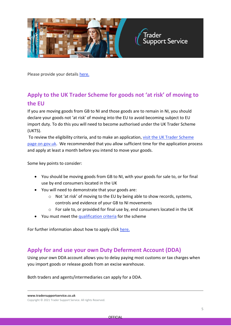

Please provide your details [here.](https://forms.office.com/r/FYHVVrSK51)

## **Apply to the UK Trader Scheme for goods not 'at risk' of moving to the EU**

If you are moving goods from GB to NI and those goods are to remain in NI, you should declare your goods not 'at risk' of moving into the EU to avoid becoming subject to EU import duty. To do this you will need to become authorised under the UK Trader Scheme (UKTS).

To review the eligibility criteria, and to make an application, [visit the UK Trader Scheme](https://www.gov.uk/guidance/apply-for-authorisation-for-the-uk-trader-scheme-if-you-bring-goods-into-northern-ireland)  [page on gov.uk.](https://www.gov.uk/guidance/apply-for-authorisation-for-the-uk-trader-scheme-if-you-bring-goods-into-northern-ireland) We recommended that you allow sufficient time for the application process and apply at least a month before you intend to move your goods.

Some key points to consider:

- You should be moving goods from GB to NI, with your goods for sale to, or for final use by end consumers located in the UK
- You will need to demonstrate that your goods are:
	- o Not 'at risk' of moving to the EU by being able to show records, systems, controls and evidence of your GB to NI movements
	- o For sale to, or provided for final use by, end consumers located in the UK
- You must meet the [qualification criteria](https://www.gov.uk/guidance/apply-for-authorisation-for-the-uk-trader-scheme-if-you-bring-goods-into-northern-ireland) for the scheme

For further information about how to apply click [here.](https://www.gov.uk/guidance/apply-for-authorisation-for-the-uk-trader-scheme-if-you-bring-goods-into-northern-ireland)

## **Apply for and use your own Duty Deferment Account (DDA)**

Using your own DDA account allows you to delay paying most customs or tax charges when you import goods or release goods from an excise warehouse.

Both traders and agents/intermediaries can apply for a DDA.